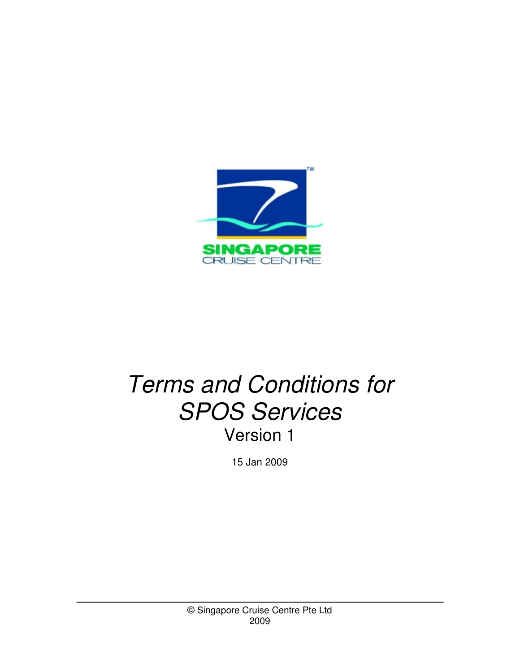

# *Terms and Conditions for SPOS Services* Version 1

15 Jan 2009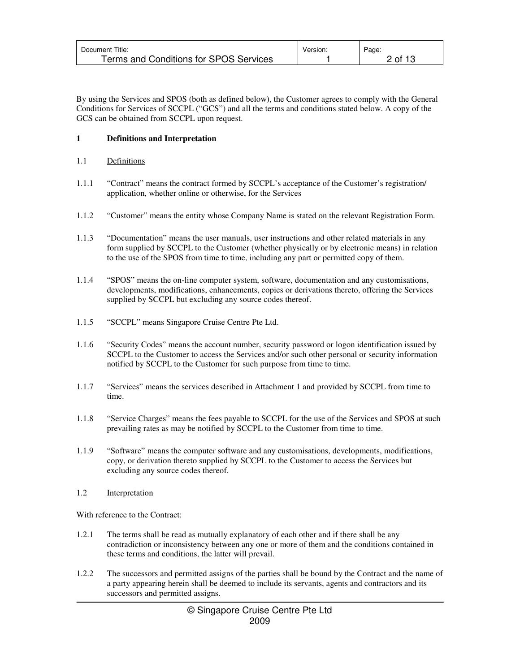| Document Title:                        | Version. | Page:   |
|----------------------------------------|----------|---------|
| Terms and Conditions for SPOS Services |          | 2 of 13 |

By using the Services and SPOS (both as defined below), the Customer agrees to comply with the General Conditions for Services of SCCPL ("GCS") and all the terms and conditions stated below. A copy of the GCS can be obtained from SCCPL upon request.

# **1 Definitions and Interpretation**

# 1.1 Definitions

- 1.1.1 "Contract" means the contract formed by SCCPL's acceptance of the Customer's registration/ application, whether online or otherwise, for the Services
- 1.1.2 "Customer" means the entity whose Company Name is stated on the relevant Registration Form.
- 1.1.3 "Documentation" means the user manuals, user instructions and other related materials in any form supplied by SCCPL to the Customer (whether physically or by electronic means) in relation to the use of the SPOS from time to time, including any part or permitted copy of them.
- 1.1.4 "SPOS" means the on-line computer system, software, documentation and any customisations, developments, modifications, enhancements, copies or derivations thereto, offering the Services supplied by SCCPL but excluding any source codes thereof.
- 1.1.5 "SCCPL" means Singapore Cruise Centre Pte Ltd.
- 1.1.6 "Security Codes" means the account number, security password or logon identification issued by SCCPL to the Customer to access the Services and/or such other personal or security information notified by SCCPL to the Customer for such purpose from time to time.
- 1.1.7 "Services" means the services described in Attachment 1 and provided by SCCPL from time to time.
- 1.1.8 "Service Charges" means the fees payable to SCCPL for the use of the Services and SPOS at such prevailing rates as may be notified by SCCPL to the Customer from time to time.
- 1.1.9 "Software" means the computer software and any customisations, developments, modifications, copy, or derivation thereto supplied by SCCPL to the Customer to access the Services but excluding any source codes thereof.
- 1.2 Interpretation

With reference to the Contract:

- 1.2.1 The terms shall be read as mutually explanatory of each other and if there shall be any contradiction or inconsistency between any one or more of them and the conditions contained in these terms and conditions, the latter will prevail.
- 1.2.2 The successors and permitted assigns of the parties shall be bound by the Contract and the name of a party appearing herein shall be deemed to include its servants, agents and contractors and its successors and permitted assigns.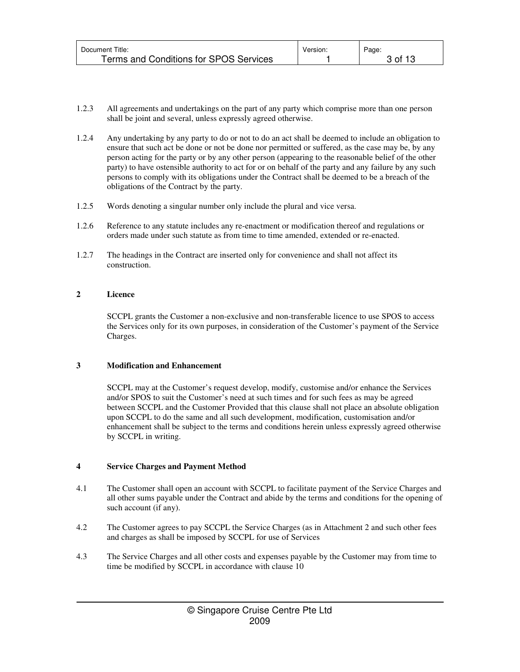| Document Title:                        | Version. | Page:              |
|----------------------------------------|----------|--------------------|
| Terms and Conditions for SPOS Services |          | $3 \text{ of } 13$ |

- 1.2.3 All agreements and undertakings on the part of any party which comprise more than one person shall be joint and several, unless expressly agreed otherwise.
- 1.2.4 Any undertaking by any party to do or not to do an act shall be deemed to include an obligation to ensure that such act be done or not be done nor permitted or suffered, as the case may be, by any person acting for the party or by any other person (appearing to the reasonable belief of the other party) to have ostensible authority to act for or on behalf of the party and any failure by any such persons to comply with its obligations under the Contract shall be deemed to be a breach of the obligations of the Contract by the party.
- 1.2.5 Words denoting a singular number only include the plural and vice versa.
- 1.2.6 Reference to any statute includes any re-enactment or modification thereof and regulations or orders made under such statute as from time to time amended, extended or re-enacted.
- 1.2.7 The headings in the Contract are inserted only for convenience and shall not affect its construction.

# **2 Licence**

SCCPL grants the Customer a non-exclusive and non-transferable licence to use SPOS to access the Services only for its own purposes, in consideration of the Customer's payment of the Service Charges.

# **3 Modification and Enhancement**

SCCPL may at the Customer's request develop, modify, customise and/or enhance the Services and/or SPOS to suit the Customer's need at such times and for such fees as may be agreed between SCCPL and the Customer Provided that this clause shall not place an absolute obligation upon SCCPL to do the same and all such development, modification, customisation and/or enhancement shall be subject to the terms and conditions herein unless expressly agreed otherwise by SCCPL in writing.

# **4 Service Charges and Payment Method**

- 4.1 The Customer shall open an account with SCCPL to facilitate payment of the Service Charges and all other sums payable under the Contract and abide by the terms and conditions for the opening of such account (if any).
- 4.2 The Customer agrees to pay SCCPL the Service Charges (as in Attachment 2 and such other fees and charges as shall be imposed by SCCPL for use of Services
- 4.3 The Service Charges and all other costs and expenses payable by the Customer may from time to time be modified by SCCPL in accordance with clause 10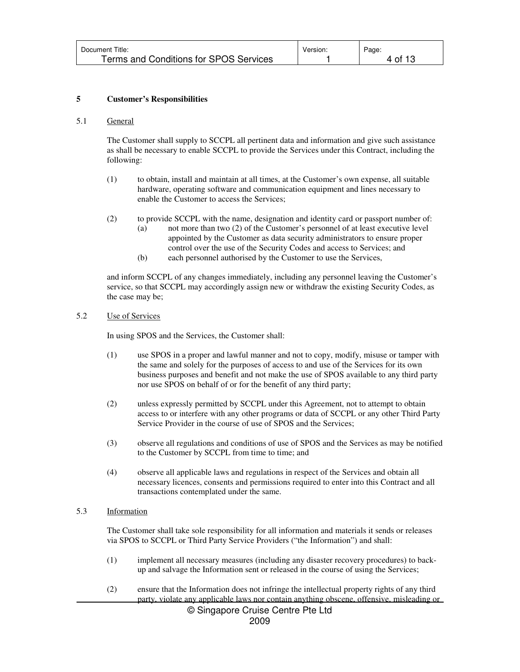| Document Title:                        | Version. | Page: |
|----------------------------------------|----------|-------|
| Terms and Conditions for SPOS Services |          | 4 of  |

# **5 Customer's Responsibilities**

#### 5.1 General

The Customer shall supply to SCCPL all pertinent data and information and give such assistance as shall be necessary to enable SCCPL to provide the Services under this Contract, including the following:

- (1) to obtain, install and maintain at all times, at the Customer's own expense, all suitable hardware, operating software and communication equipment and lines necessary to enable the Customer to access the Services;
- (2) to provide SCCPL with the name, designation and identity card or passport number of:
	- (a) not more than two (2) of the Customer's personnel of at least executive level appointed by the Customer as data security administrators to ensure proper control over the use of the Security Codes and access to Services; and
	- (b) each personnel authorised by the Customer to use the Services,

and inform SCCPL of any changes immediately, including any personnel leaving the Customer's service, so that SCCPL may accordingly assign new or withdraw the existing Security Codes, as the case may be;

# 5.2 Use of Services

In using SPOS and the Services, the Customer shall:

- (1) use SPOS in a proper and lawful manner and not to copy, modify, misuse or tamper with the same and solely for the purposes of access to and use of the Services for its own business purposes and benefit and not make the use of SPOS available to any third party nor use SPOS on behalf of or for the benefit of any third party;
- (2) unless expressly permitted by SCCPL under this Agreement, not to attempt to obtain access to or interfere with any other programs or data of SCCPL or any other Third Party Service Provider in the course of use of SPOS and the Services;
- (3) observe all regulations and conditions of use of SPOS and the Services as may be notified to the Customer by SCCPL from time to time; and
- (4) observe all applicable laws and regulations in respect of the Services and obtain all necessary licences, consents and permissions required to enter into this Contract and all transactions contemplated under the same.

# 5.3 Information

The Customer shall take sole responsibility for all information and materials it sends or releases via SPOS to SCCPL or Third Party Service Providers ("the Information") and shall:

- (1) implement all necessary measures (including any disaster recovery procedures) to backup and salvage the Information sent or released in the course of using the Services;
- (2) ensure that the Information does not infringe the intellectual property rights of any third party, violate any applicable laws nor contain anything obscene, offensive, misleading or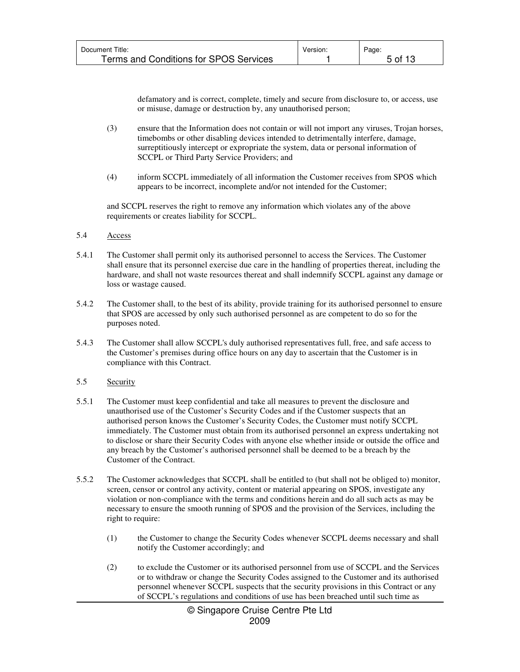| Document Title:                        | Version. | Page:   |
|----------------------------------------|----------|---------|
| Terms and Conditions for SPOS Services |          | 5 of 13 |

defamatory and is correct, complete, timely and secure from disclosure to, or access, use or misuse, damage or destruction by, any unauthorised person;

- (3) ensure that the Information does not contain or will not import any viruses, Trojan horses, timebombs or other disabling devices intended to detrimentally interfere, damage, surreptitiously intercept or expropriate the system, data or personal information of SCCPL or Third Party Service Providers; and
- (4) inform SCCPL immediately of all information the Customer receives from SPOS which appears to be incorrect, incomplete and/or not intended for the Customer;

and SCCPL reserves the right to remove any information which violates any of the above requirements or creates liability for SCCPL.

#### 5.4 Access

- 5.4.1 The Customer shall permit only its authorised personnel to access the Services. The Customer shall ensure that its personnel exercise due care in the handling of properties thereat, including the hardware, and shall not waste resources thereat and shall indemnify SCCPL against any damage or loss or wastage caused.
- 5.4.2 The Customer shall, to the best of its ability, provide training for its authorised personnel to ensure that SPOS are accessed by only such authorised personnel as are competent to do so for the purposes noted.
- 5.4.3 The Customer shall allow SCCPL's duly authorised representatives full, free, and safe access to the Customer's premises during office hours on any day to ascertain that the Customer is in compliance with this Contract.

# 5.5 Security

- 5.5.1 The Customer must keep confidential and take all measures to prevent the disclosure and unauthorised use of the Customer's Security Codes and if the Customer suspects that an authorised person knows the Customer's Security Codes, the Customer must notify SCCPL immediately. The Customer must obtain from its authorised personnel an express undertaking not to disclose or share their Security Codes with anyone else whether inside or outside the office and any breach by the Customer's authorised personnel shall be deemed to be a breach by the Customer of the Contract.
- 5.5.2 The Customer acknowledges that SCCPL shall be entitled to (but shall not be obliged to) monitor, screen, censor or control any activity, content or material appearing on SPOS, investigate any violation or non-compliance with the terms and conditions herein and do all such acts as may be necessary to ensure the smooth running of SPOS and the provision of the Services, including the right to require:
	- (1) the Customer to change the Security Codes whenever SCCPL deems necessary and shall notify the Customer accordingly; and
	- (2) to exclude the Customer or its authorised personnel from use of SCCPL and the Services or to withdraw or change the Security Codes assigned to the Customer and its authorised personnel whenever SCCPL suspects that the security provisions in this Contract or any of SCCPL's regulations and conditions of use has been breached until such time as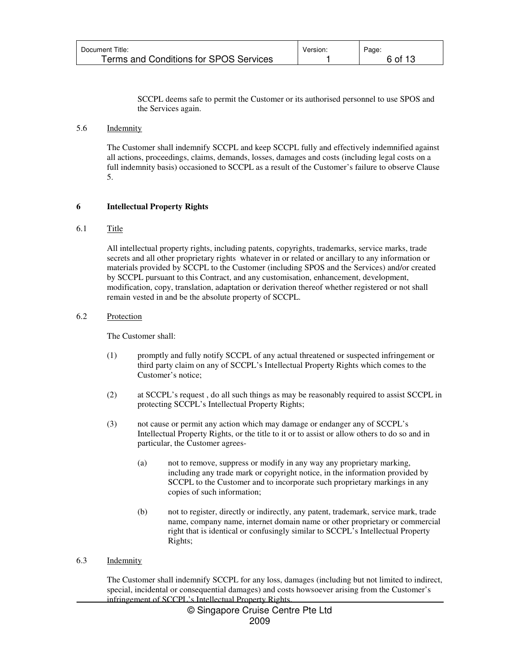| Document Title:                        | Version. | Page:   |
|----------------------------------------|----------|---------|
| Terms and Conditions for SPOS Services |          | 6 of 13 |

SCCPL deems safe to permit the Customer or its authorised personnel to use SPOS and the Services again.

#### 5.6 Indemnity

The Customer shall indemnify SCCPL and keep SCCPL fully and effectively indemnified against all actions, proceedings, claims, demands, losses, damages and costs (including legal costs on a full indemnity basis) occasioned to SCCPL as a result of the Customer's failure to observe Clause 5.

# **6 Intellectual Property Rights**

# 6.1 Title

All intellectual property rights, including patents, copyrights, trademarks, service marks, trade secrets and all other proprietary rights whatever in or related or ancillary to any information or materials provided by SCCPL to the Customer (including SPOS and the Services) and/or created by SCCPL pursuant to this Contract, and any customisation, enhancement, development, modification, copy, translation, adaptation or derivation thereof whether registered or not shall remain vested in and be the absolute property of SCCPL.

# 6.2 Protection

The Customer shall:

- (1) promptly and fully notify SCCPL of any actual threatened or suspected infringement or third party claim on any of SCCPL's Intellectual Property Rights which comes to the Customer's notice;
- (2) at SCCPL's request , do all such things as may be reasonably required to assist SCCPL in protecting SCCPL's Intellectual Property Rights;
- (3) not cause or permit any action which may damage or endanger any of SCCPL's Intellectual Property Rights, or the title to it or to assist or allow others to do so and in particular, the Customer agrees-
	- (a) not to remove, suppress or modify in any way any proprietary marking, including any trade mark or copyright notice, in the information provided by SCCPL to the Customer and to incorporate such proprietary markings in any copies of such information;
	- (b) not to register, directly or indirectly, any patent, trademark, service mark, trade name, company name, internet domain name or other proprietary or commercial right that is identical or confusingly similar to SCCPL's Intellectual Property Rights;
- 6.3 Indemnity

The Customer shall indemnify SCCPL for any loss, damages (including but not limited to indirect, special, incidental or consequential damages) and costs howsoever arising from the Customer's infringement of SCCPL's Intellectual Property Rights.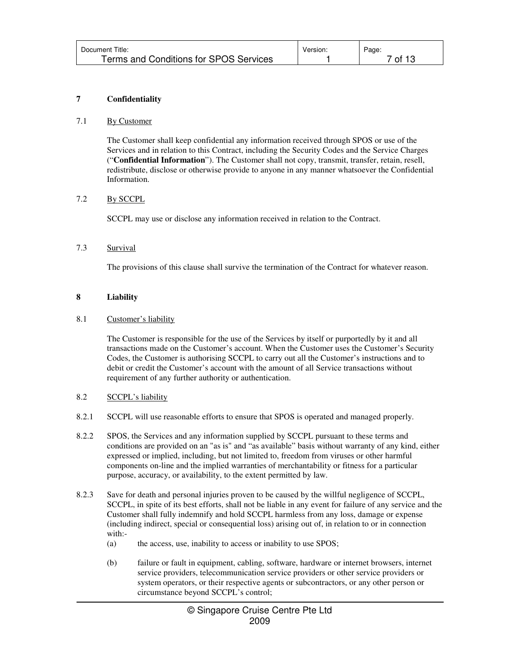| Document Title:                        | Version. | Page:                |
|----------------------------------------|----------|----------------------|
| Terms and Conditions for SPOS Services |          | <sup>7</sup> of 13 i |

# **7 Confidentiality**

# 7.1 By Customer

The Customer shall keep confidential any information received through SPOS or use of the Services and in relation to this Contract, including the Security Codes and the Service Charges ("**Confidential Information**"). The Customer shall not copy, transmit, transfer, retain, resell, redistribute, disclose or otherwise provide to anyone in any manner whatsoever the Confidential Information.

# 7.2 By SCCPL

SCCPL may use or disclose any information received in relation to the Contract.

# 7.3 Survival

The provisions of this clause shall survive the termination of the Contract for whatever reason.

# **8 Liability**

# 8.1 Customer's liability

The Customer is responsible for the use of the Services by itself or purportedly by it and all transactions made on the Customer's account. When the Customer uses the Customer's Security Codes, the Customer is authorising SCCPL to carry out all the Customer's instructions and to debit or credit the Customer's account with the amount of all Service transactions without requirement of any further authority or authentication.

# 8.2 SCCPL's liability

- 8.2.1 SCCPL will use reasonable efforts to ensure that SPOS is operated and managed properly.
- 8.2.2 SPOS, the Services and any information supplied by SCCPL pursuant to these terms and conditions are provided on an "as is" and "as available" basis without warranty of any kind, either expressed or implied, including, but not limited to, freedom from viruses or other harmful components on-line and the implied warranties of merchantability or fitness for a particular purpose, accuracy, or availability, to the extent permitted by law.
- 8.2.3 Save for death and personal injuries proven to be caused by the willful negligence of SCCPL, SCCPL, in spite of its best efforts, shall not be liable in any event for failure of any service and the Customer shall fully indemnify and hold SCCPL harmless from any loss, damage or expense (including indirect, special or consequential loss) arising out of, in relation to or in connection with:-
	- (a) the access, use, inability to access or inability to use SPOS;
	- (b) failure or fault in equipment, cabling, software, hardware or internet browsers, internet service providers, telecommunication service providers or other service providers or system operators, or their respective agents or subcontractors, or any other person or circumstance beyond SCCPL's control;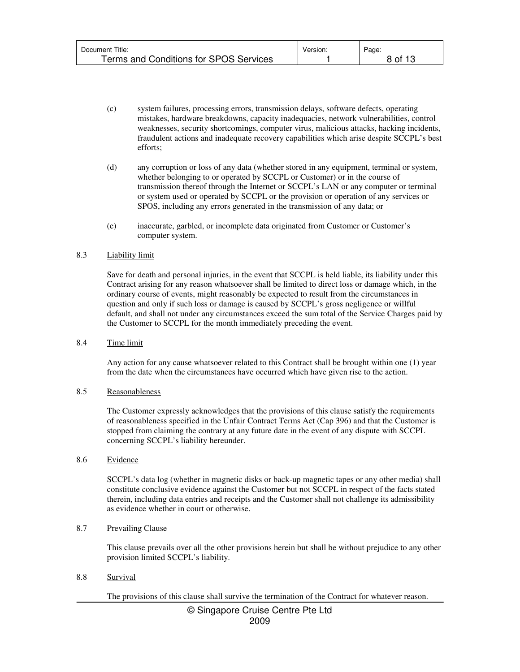| Document Title:                        | Version. | Page:   |
|----------------------------------------|----------|---------|
| Terms and Conditions for SPOS Services |          | 8 of 13 |

- (c) system failures, processing errors, transmission delays, software defects, operating mistakes, hardware breakdowns, capacity inadequacies, network vulnerabilities, control weaknesses, security shortcomings, computer virus, malicious attacks, hacking incidents, fraudulent actions and inadequate recovery capabilities which arise despite SCCPL's best efforts;
- (d) any corruption or loss of any data (whether stored in any equipment, terminal or system, whether belonging to or operated by SCCPL or Customer) or in the course of transmission thereof through the Internet or SCCPL's LAN or any computer or terminal or system used or operated by SCCPL or the provision or operation of any services or SPOS, including any errors generated in the transmission of any data; or
- (e) inaccurate, garbled, or incomplete data originated from Customer or Customer's computer system.

#### 8.3 Liability limit

Save for death and personal injuries, in the event that SCCPL is held liable, its liability under this Contract arising for any reason whatsoever shall be limited to direct loss or damage which, in the ordinary course of events, might reasonably be expected to result from the circumstances in question and only if such loss or damage is caused by SCCPL's gross negligence or willful default, and shall not under any circumstances exceed the sum total of the Service Charges paid by the Customer to SCCPL for the month immediately preceding the event.

#### 8.4 Time limit

Any action for any cause whatsoever related to this Contract shall be brought within one (1) year from the date when the circumstances have occurred which have given rise to the action.

#### 8.5 Reasonableness

The Customer expressly acknowledges that the provisions of this clause satisfy the requirements of reasonableness specified in the Unfair Contract Terms Act (Cap 396) and that the Customer is stopped from claiming the contrary at any future date in the event of any dispute with SCCPL concerning SCCPL's liability hereunder.

#### 8.6 Evidence

SCCPL's data log (whether in magnetic disks or back-up magnetic tapes or any other media) shall constitute conclusive evidence against the Customer but not SCCPL in respect of the facts stated therein, including data entries and receipts and the Customer shall not challenge its admissibility as evidence whether in court or otherwise.

# 8.7 Prevailing Clause

This clause prevails over all the other provisions herein but shall be without prejudice to any other provision limited SCCPL's liability.

# 8.8 Survival

The provisions of this clause shall survive the termination of the Contract for whatever reason.

# © Singapore Cruise Centre Pte Ltd 2009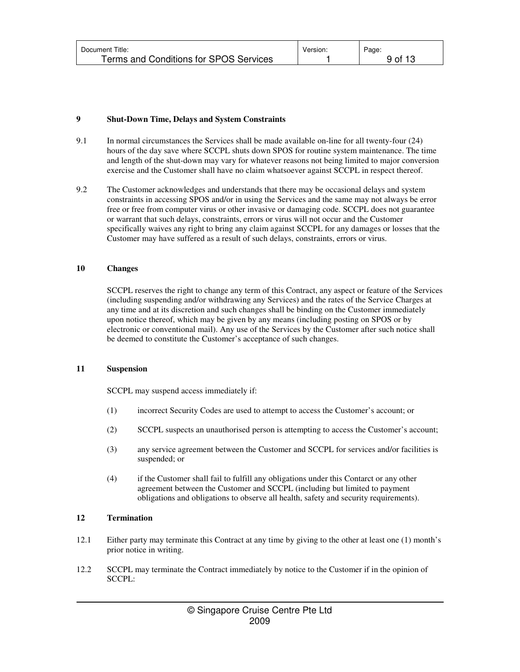| Document Title:                        | Version: | Page:   |
|----------------------------------------|----------|---------|
| Terms and Conditions for SPOS Services |          | 9 of 13 |

# **9 Shut-Down Time, Delays and System Constraints**

- 9.1 In normal circumstances the Services shall be made available on-line for all twenty-four (24) hours of the day save where SCCPL shuts down SPOS for routine system maintenance. The time and length of the shut-down may vary for whatever reasons not being limited to major conversion exercise and the Customer shall have no claim whatsoever against SCCPL in respect thereof.
- 9.2 The Customer acknowledges and understands that there may be occasional delays and system constraints in accessing SPOS and/or in using the Services and the same may not always be error free or free from computer virus or other invasive or damaging code. SCCPL does not guarantee or warrant that such delays, constraints, errors or virus will not occur and the Customer specifically waives any right to bring any claim against SCCPL for any damages or losses that the Customer may have suffered as a result of such delays, constraints, errors or virus.

# **10 Changes**

SCCPL reserves the right to change any term of this Contract, any aspect or feature of the Services (including suspending and/or withdrawing any Services) and the rates of the Service Charges at any time and at its discretion and such changes shall be binding on the Customer immediately upon notice thereof, which may be given by any means (including posting on SPOS or by electronic or conventional mail). Any use of the Services by the Customer after such notice shall be deemed to constitute the Customer's acceptance of such changes.

# **11 Suspension**

SCCPL may suspend access immediately if:

- (1) incorrect Security Codes are used to attempt to access the Customer's account; or
- (2) SCCPL suspects an unauthorised person is attempting to access the Customer's account;
- (3) any service agreement between the Customer and SCCPL for services and/or facilities is suspended; or
- (4) if the Customer shall fail to fulfill any obligations under this Contarct or any other agreement between the Customer and SCCPL (including but limited to payment obligations and obligations to observe all health, safety and security requirements).

# **12 Termination**

- 12.1 Either party may terminate this Contract at any time by giving to the other at least one (1) month's prior notice in writing.
- 12.2 SCCPL may terminate the Contract immediately by notice to the Customer if in the opinion of SCCPL: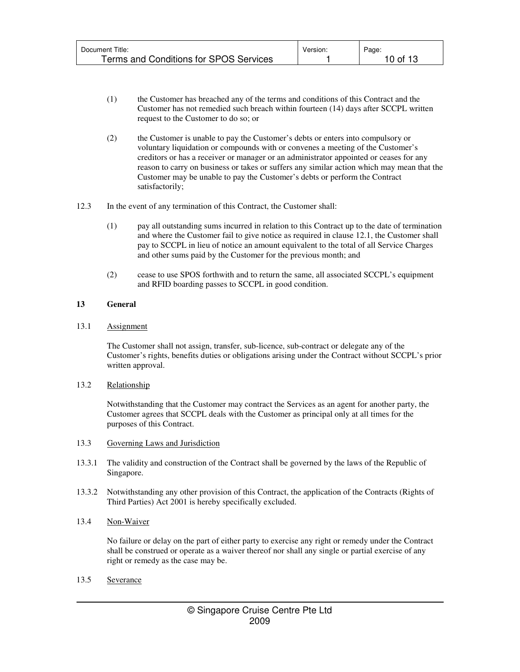| Document Title:                        | Version. | Page:    |
|----------------------------------------|----------|----------|
| Terms and Conditions for SPOS Services |          | 10 of 13 |

- (1) the Customer has breached any of the terms and conditions of this Contract and the Customer has not remedied such breach within fourteen (14) days after SCCPL written request to the Customer to do so; or
- (2) the Customer is unable to pay the Customer's debts or enters into compulsory or voluntary liquidation or compounds with or convenes a meeting of the Customer's creditors or has a receiver or manager or an administrator appointed or ceases for any reason to carry on business or takes or suffers any similar action which may mean that the Customer may be unable to pay the Customer's debts or perform the Contract satisfactorily;
- 12.3 In the event of any termination of this Contract, the Customer shall:
	- (1) pay all outstanding sums incurred in relation to this Contract up to the date of termination and where the Customer fail to give notice as required in clause 12.1, the Customer shall pay to SCCPL in lieu of notice an amount equivalent to the total of all Service Charges and other sums paid by the Customer for the previous month; and
	- (2) cease to use SPOS forthwith and to return the same, all associated SCCPL's equipment and RFID boarding passes to SCCPL in good condition.

# **13 General**

# 13.1 Assignment

The Customer shall not assign, transfer, sub-licence, sub-contract or delegate any of the Customer's rights, benefits duties or obligations arising under the Contract without SCCPL's prior written approval.

# 13.2 Relationship

Notwithstanding that the Customer may contract the Services as an agent for another party, the Customer agrees that SCCPL deals with the Customer as principal only at all times for the purposes of this Contract.

# 13.3 Governing Laws and Jurisdiction

- 13.3.1 The validity and construction of the Contract shall be governed by the laws of the Republic of Singapore.
- 13.3.2 Notwithstanding any other provision of this Contract, the application of the Contracts (Rights of Third Parties) Act 2001 is hereby specifically excluded.
- 13.4 Non-Waiver

No failure or delay on the part of either party to exercise any right or remedy under the Contract shall be construed or operate as a waiver thereof nor shall any single or partial exercise of any right or remedy as the case may be.

13.5 Severance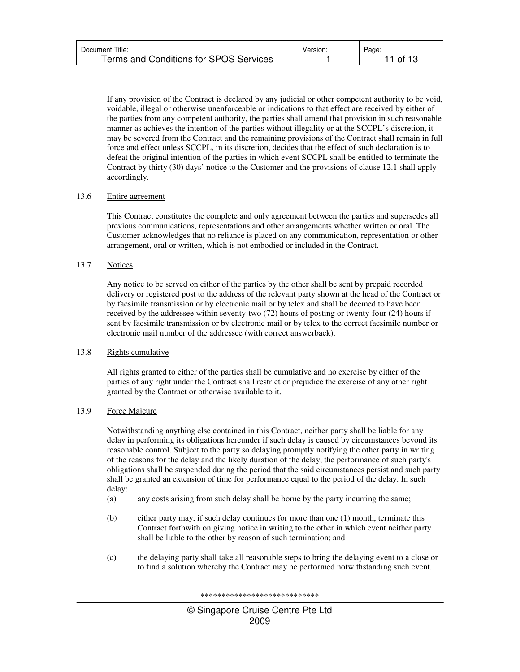| Document Title:                               | Version. | Page:    |
|-----------------------------------------------|----------|----------|
| <b>Terms and Conditions for SPOS Services</b> |          | 11 of 13 |

If any provision of the Contract is declared by any judicial or other competent authority to be void, voidable, illegal or otherwise unenforceable or indications to that effect are received by either of the parties from any competent authority, the parties shall amend that provision in such reasonable manner as achieves the intention of the parties without illegality or at the SCCPL's discretion, it may be severed from the Contract and the remaining provisions of the Contract shall remain in full force and effect unless SCCPL, in its discretion, decides that the effect of such declaration is to defeat the original intention of the parties in which event SCCPL shall be entitled to terminate the Contract by thirty (30) days' notice to the Customer and the provisions of clause 12.1 shall apply accordingly.

# 13.6 Entire agreement

This Contract constitutes the complete and only agreement between the parties and supersedes all previous communications, representations and other arrangements whether written or oral. The Customer acknowledges that no reliance is placed on any communication, representation or other arrangement, oral or written, which is not embodied or included in the Contract.

# 13.7 Notices

Any notice to be served on either of the parties by the other shall be sent by prepaid recorded delivery or registered post to the address of the relevant party shown at the head of the Contract or by facsimile transmission or by electronic mail or by telex and shall be deemed to have been received by the addressee within seventy-two (72) hours of posting or twenty-four (24) hours if sent by facsimile transmission or by electronic mail or by telex to the correct facsimile number or electronic mail number of the addressee (with correct answerback).

# 13.8 Rights cumulative

All rights granted to either of the parties shall be cumulative and no exercise by either of the parties of any right under the Contract shall restrict or prejudice the exercise of any other right granted by the Contract or otherwise available to it.

# 13.9 Force Majeure

Notwithstanding anything else contained in this Contract, neither party shall be liable for any delay in performing its obligations hereunder if such delay is caused by circumstances beyond its reasonable control. Subject to the party so delaying promptly notifying the other party in writing of the reasons for the delay and the likely duration of the delay, the performance of such party's obligations shall be suspended during the period that the said circumstances persist and such party shall be granted an extension of time for performance equal to the period of the delay. In such delay:

- (a) any costs arising from such delay shall be borne by the party incurring the same;
- (b) either party may, if such delay continues for more than one (1) month, terminate this Contract forthwith on giving notice in writing to the other in which event neither party shall be liable to the other by reason of such termination; and
- (c) the delaying party shall take all reasonable steps to bring the delaying event to a close or to find a solution whereby the Contract may be performed notwithstanding such event.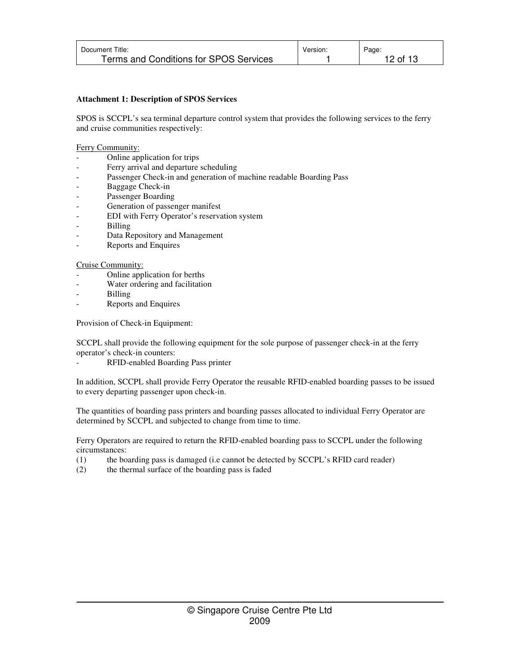| Document Title:                        | Version. | Page: |
|----------------------------------------|----------|-------|
| Terms and Conditions for SPOS Services |          | ⊥2 of |

# **Attachment 1: Description of SPOS Services**

SPOS is SCCPL's sea terminal departure control system that provides the following services to the ferry and cruise communities respectively:

# Ferry Community:

- Online application for trips
- Ferry arrival and departure scheduling
- Passenger Check-in and generation of machine readable Boarding Pass
- Baggage Check-in
- Passenger Boarding
- Generation of passenger manifest
- EDI with Ferry Operator's reservation system
- Billing
- Data Repository and Management
- Reports and Enquires

# Cruise Community:

- Online application for berths
- Water ordering and facilitation
- **Billing**
- Reports and Enquires

Provision of Check-in Equipment:

SCCPL shall provide the following equipment for the sole purpose of passenger check-in at the ferry operator's check-in counters:

- RFID-enabled Boarding Pass printer

In addition, SCCPL shall provide Ferry Operator the reusable RFID-enabled boarding passes to be issued to every departing passenger upon check-in.

The quantities of boarding pass printers and boarding passes allocated to individual Ferry Operator are determined by SCCPL and subjected to change from time to time.

Ferry Operators are required to return the RFID-enabled boarding pass to SCCPL under the following circumstances:

- (1) the boarding pass is damaged (i.e cannot be detected by SCCPL's RFID card reader)
- (2) the thermal surface of the boarding pass is faded